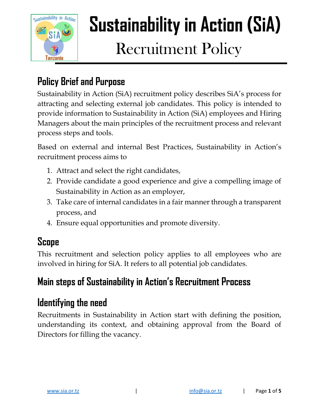

# **Sustainability in Action (SiA)** Recruitment Policy

#### **Policy Brief and Purpose**

Sustainability in Action (SiA) recruitment policy describes SiA's process for attracting and selecting external job candidates. This policy is intended to provide information to Sustainability in Action (SiA) employees and Hiring Managers about the main principles of the recruitment process and relevant process steps and tools.

Based on external and internal Best Practices, Sustainability in Action's recruitment process aims to

- 1. Attract and select the right candidates,
- 2. Provide candidate a good experience and give a compelling image of Sustainability in Action as an employer,
- 3. Take care of internal candidates in a fair manner through a transparent process, and
- 4. Ensure equal opportunities and promote diversity.

#### **Scope**

This recruitment and selection policy applies to all employees who are involved in hiring for SiA. It refers to all potential job candidates.

#### **Main steps of Sustainability in Action's Recruitment Process**

#### **Identifying the need**

Recruitments in Sustainability in Action start with defining the position, understanding its context, and obtaining approval from the Board of Directors for filling the vacancy.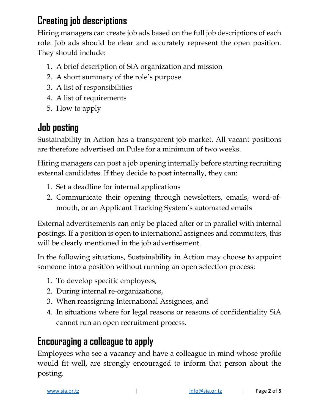#### **Creating job descriptions**

Hiring managers can create job ads based on the full job descriptions of each role. Job ads should be clear and accurately represent the open position. They should include:

- 1. A brief description of SiA organization and mission
- 2. A short summary of the role's purpose
- 3. A list of responsibilities
- 4. A list of requirements
- 5. How to apply

# **Job posting**

Sustainability in Action has a transparent job market. All vacant positions are therefore advertised on Pulse for a minimum of two weeks.

Hiring managers can post a job opening internally before starting recruiting external candidates. If they decide to post internally, they can:

- 1. Set a deadline for internal applications
- 2. Communicate their opening through newsletters, emails, word-ofmouth, or an Applicant Tracking System's automated emails

External advertisements can only be placed after or in parallel with internal postings. If a position is open to international assignees and commuters, this will be clearly mentioned in the job advertisement.

In the following situations, Sustainability in Action may choose to appoint someone into a position without running an open selection process:

- 1. To develop specific employees,
- 2. During internal re-organizations,
- 3. When reassigning International Assignees, and
- 4. In situations where for legal reasons or reasons of confidentiality SiA cannot run an open recruitment process.

## **Encouraging a colleague to apply**

Employees who see a vacancy and have a colleague in mind whose profile would fit well, are strongly encouraged to inform that person about the posting.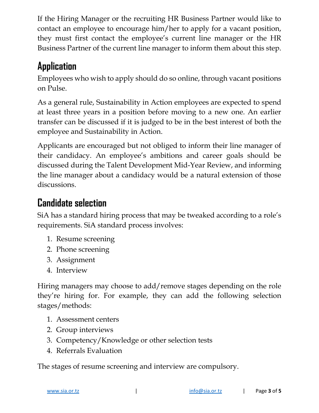If the Hiring Manager or the recruiting HR Business Partner would like to contact an employee to encourage him/her to apply for a vacant position, they must first contact the employee's current line manager or the HR Business Partner of the current line manager to inform them about this step.

## **Application**

Employees who wish to apply should do so online, through vacant positions on Pulse.

As a general rule, Sustainability in Action employees are expected to spend at least three years in a position before moving to a new one. An earlier transfer can be discussed if it is judged to be in the best interest of both the employee and Sustainability in Action.

Applicants are encouraged but not obliged to inform their line manager of their candidacy. An employee's ambitions and career goals should be discussed during the Talent Development Mid-Year Review, and informing the line manager about a candidacy would be a natural extension of those discussions.

## **Candidate selection**

SiA has a standard hiring process that may be tweaked according to a role's requirements. SiA standard process involves:

- 1. Resume screening
- 2. Phone screening
- 3. Assignment
- 4. Interview

Hiring managers may choose to add/remove stages depending on the role they're hiring for. For example, they can add the following selection stages/methods:

- 1. Assessment centers
- 2. Group interviews
- 3. Competency/Knowledge or other selection tests
- 4. Referrals Evaluation

The stages of resume screening and interview are compulsory.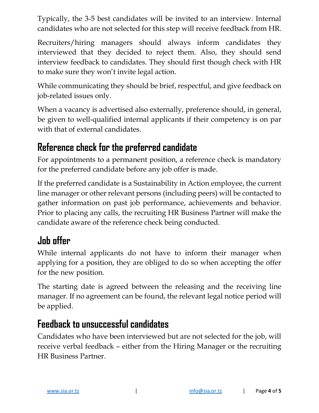Typically, the 3-5 best candidates will be invited to an interview. Internal candidates who are not selected for this step will receive feedback from HR.

Recruiters/hiring managers should always inform candidates they interviewed that they decided to reject them. Also, they should send interview feedback to candidates. They should first though check with HR to make sure they won't invite legal action.

While communicating they should be brief, respectful, and give feedback on job-related issues only.

When a vacancy is advertised also externally, preference should, in general, be given to well-qualified internal applicants if their competency is on par with that of external candidates.

#### **Reference check for the preferred candidate**

For appointments to a permanent position, a reference check is mandatory for the preferred candidate before any job offer is made.

If the preferred candidate is a Sustainability in Action employee, the current line manager or other relevant persons (including peers) will be contacted to gather information on past job performance, achievements and behavior. Prior to placing any calls, the recruiting HR Business Partner will make the candidate aware of the reference check being conducted.

## **Job offer**

While internal applicants do not have to inform their manager when applying for a position, they are obliged to do so when accepting the offer for the new position.

The starting date is agreed between the releasing and the receiving line manager. If no agreement can be found, the relevant legal notice period will be applied.

#### **Feedback to unsuccessful candidates**

Candidates who have been interviewed but are not selected for the job, will receive verbal feedback – either from the Hiring Manager or the recruiting HR Business Partner.